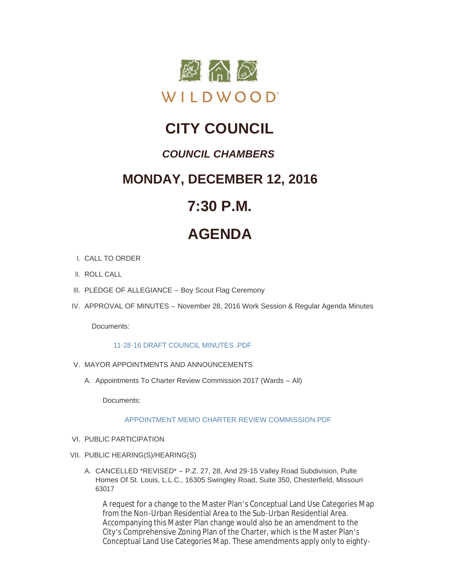

# **CITY COUNCIL**

# *COUNCIL CHAMBERS*

# **MONDAY, DECEMBER 12, 2016**

# **7:30 P.M.**

# **AGENDA**

- CALL TO ORDER I.
- II. ROLL CALL
- III. PLEDGE OF ALLEGIANCE Boy Scout Flag Ceremony
- IV. APPROVAL OF MINUTES November 28, 2016 Work Session & Regular Agenda Minutes

Documents:

# [11-28-16 DRAFT COUNCIL MINUTES .PDF](http://mo-wildwood.civicplus.com/AgendaCenter/ViewFile/Item/9193?fileID=13436)

- V. MAYOR APPOINTMENTS AND ANNOUNCEMENTS
	- A. Appointments To Charter Review Commission 2017 (Wards All)

Documents:

[APPOINTMENT MEMO CHARTER REVIEW COMMISSION.PDF](http://mo-wildwood.civicplus.com/AgendaCenter/ViewFile/Item/9254?fileID=13466)

- VI. PUBLIC PARTICIPATION
- VII. PUBLIC HEARING(S)/HEARING(S)
	- A. CANCELLED \*REVISED\* P.Z. 27, 28, And 29-15 Valley Road Subdivision, Pulte Homes Of St. Louis, L.L.C., 16305 Swingley Road, Suite 350, Chesterfield, Missouri 63017

A request for a change to the Master Plan's Conceptual Land Use Categories Map from the Non-Urban Residential Area to the Sub-Urban Residential Area. Accompanying this Master Plan change would also be an amendment to the City's Comprehensive Zoning Plan of the Charter, which is the Master Plan's Conceptual Land Use Categories Map. These amendments apply only to eighty-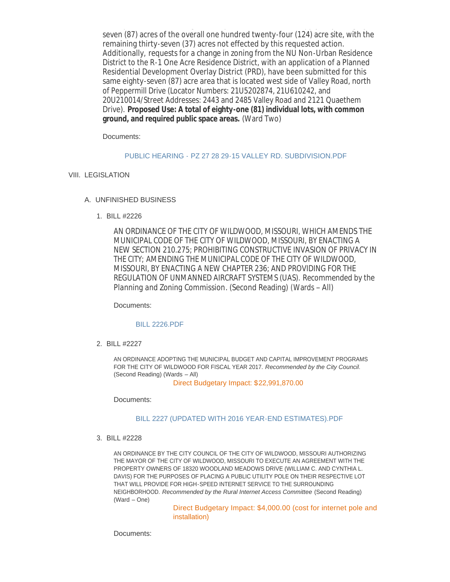Conceptual Land Use Categories Map. These amendments apply only to eightyseven (87) acres of the overall one hundred twenty-four (124) acre site, with the remaining thirty-seven (37) acres not effected by this requested action. Additionally, requests for a change in zoning from the NU Non-Urban Residence District to the R-1 One Acre Residence District, with an application of a Planned Residential Development Overlay District (PRD), have been submitted for this same eighty-seven (87) acre area that is located west side of Valley Road, north of Peppermill Drive (Locator Numbers: 21U5202874, 21U610242, and 20U210014/Street Addresses: 2443 and 2485 Valley Road and 2121 Quaethem Drive). **Proposed Use: A total of eighty-one (81) individual lots, with common ground, and required public space areas.** (Ward Two)

Documents:

## PUBLIC HEARING - PZ 27 28 29-15 VALLEY RD. SUBDIVISION PDF

# VIII. LEGISLATION

# UNFINISHED BUSINESS A.

BILL #2226 1.

AN ORDINANCE OF THE CITY OF WILDWOOD, MISSOURI, WHICH AMENDS THE MUNICIPAL CODE OF THE CITY OF WILDWOOD, MISSOURI, BY ENACTING A NEW SECTION 210.275; PROHIBITING CONSTRUCTIVE INVASION OF PRIVACY IN THE CITY; AMENDING THE MUNICIPAL CODE OF THE CITY OF WILDWOOD, MISSOURI, BY ENACTING A NEW CHAPTER 236; AND PROVIDING FOR THE REGULATION OF UNMANNED AIRCRAFT SYSTEMS (UAS). *Recommended by the Planning and Zoning Commission*. (Second Reading) (Wards – All)

Documents:

## [BILL 2226.PDF](http://mo-wildwood.civicplus.com/AgendaCenter/ViewFile/Item/9200?fileID=13438)

BILL #2227 2.

AN ORDINANCE ADOPTING THE MUNICIPAL BUDGET AND CAPITAL IMPROVEMENT PROGRAMS FOR THE CITY OF WILDWOOD FOR FISCAL YEAR 2017. *Recommended by the City Council*. (Second Reading) (Wards – All)

Direct Budgetary Impact: \$22,991,870.00

Documents:

# [BILL 2227 \(UPDATED WITH 2016 YEAR-END ESTIMATES\).PDF](http://mo-wildwood.civicplus.com/AgendaCenter/ViewFile/Item/9201?fileID=13439)

BILL #2228 3.

AN ORDINANCE BY THE CITY COUNCIL OF THE CITY OF WILDWOOD, MISSOURI AUTHORIZING THE MAYOR OF THE CITY OF WILDWOOD, MISSOURI TO EXECUTE AN AGREEMENT WITH THE PROPERTY OWNERS OF 18320 WOODLAND MEADOWS DRIVE (WILLIAM C. AND CYNTHIA L. DAVIS) FOR THE PURPOSES OF PLACING A PUBLIC UTILITY POLE ON THEIR RESPECTIVE LOT THAT WILL PROVIDE FOR HIGH-SPEED INTERNET SERVICE TO THE SURROUNDING NEIGHBORHOOD. *Recommended by the Rural Internet Access Committee* (Second Reading) (Ward – One)

> Direct Budgetary Impact: \$4,000.00 (cost for internet pole and installation)

Documents: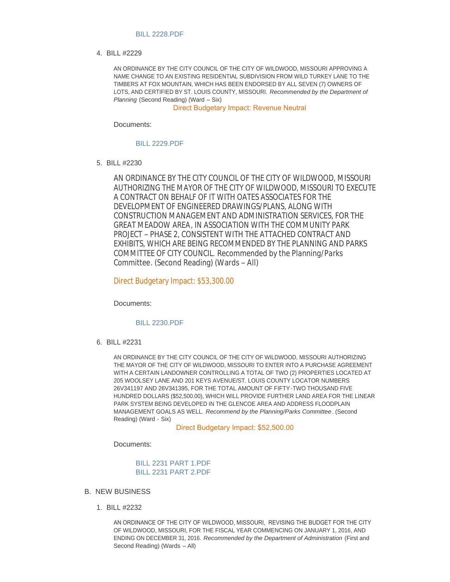#### [BILL 2228.PDF](http://mo-wildwood.civicplus.com/AgendaCenter/ViewFile/Item/9202?fileID=13440)

BILL #2229 4.

AN ORDINANCE BY THE CITY COUNCIL OF THE CITY OF WILDWOOD, MISSOURI APPROVING A NAME CHANGE TO AN EXISTING RESIDENTIAL SUBDIVISION FROM WILD TURKEY LANE TO THE TIMBERS AT FOX MOUNTAIN, WHICH HAS BEEN ENDORSED BY ALL SEVEN (7) OWNERS OF LOTS, AND CERTIFIED BY ST. LOUIS COUNTY, MISSOURI. *Recommended by the Department of Planning* (Second Reading) (Ward – Six)

Direct Budgetary Impact: Revenue Neutral

Documents:

[BILL 2229.PDF](http://mo-wildwood.civicplus.com/AgendaCenter/ViewFile/Item/9203?fileID=13441)

BILL #2230 5.

AN ORDINANCE BY THE CITY COUNCIL OF THE CITY OF WILDWOOD, MISSOURI AUTHORIZING THE MAYOR OF THE CITY OF WILDWOOD, MISSOURI TO EXECUTE A CONTRACT ON BEHALF OF IT WITH OATES ASSOCIATES FOR THE DEVELOPMENT OF ENGINEERED DRAWINGS/PLANS, ALONG WITH CONSTRUCTION MANAGEMENT AND ADMINISTRATION SERVICES, FOR THE *GREAT MEADOW AREA*, IN ASSOCIATION WITH THE COMMUNITY PARK PROJECT – PHASE 2, CONSISTENT WITH THE ATTACHED CONTRACT AND EXHIBITS, WHICH ARE BEING RECOMMENDED BY THE PLANNING AND PARKS COMMITTEE OF CITY COUNCIL. *Recommended by the Planning/Parks Committee*. (Second Reading) (Wards – All)

Direct Budgetary Impact: \$53,300.00

Documents:

#### [BILL 2230.PDF](http://mo-wildwood.civicplus.com/AgendaCenter/ViewFile/Item/9204?fileID=13442)

BILL #2231 6.

AN ORDINANCE BY THE CITY COUNCIL OF THE CITY OF WILDWOOD, MISSOURI AUTHORIZING THE MAYOR OF THE CITY OF WILDWOOD, MISSOURI TO ENTER INTO A PURCHASE AGREEMENT WITH A CERTAIN LANDOWNER CONTROLLING A TOTAL OF TWO (2) PROPERTIES LOCATED AT 205 WOOLSEY LANE AND 201 KEYS AVENUE/ST. LOUIS COUNTY LOCATOR NUMBERS 26V341197 AND 26V341395, FOR THE TOTAL AMOUNT OF FIFTY-TWO THOUSAND FIVE HUNDRED DOLLARS (\$52,500.00), WHICH WILL PROVIDE FURTHER LAND AREA FOR THE LINEAR PARK SYSTEM BEING DEVELOPED IN THE GLENCOE AREA AND ADDRESS FLOODPLAIN MANAGEMENT GOALS AS WELL. *Recommend by the Planning/Parks Committee*. (Second Reading) (Ward - Six)

Direct Budgetary Impact: \$52,500.00

Documents:

[BILL 2231 PART 1.PDF](http://mo-wildwood.civicplus.com/AgendaCenter/ViewFile/Item/9205?fileID=13443) [BILL 2231 PART 2.PDF](http://mo-wildwood.civicplus.com/AgendaCenter/ViewFile/Item/9205?fileID=13444)

- **B. NEW BUSINESS** 
	- BILL #2232 1.

AN ORDINANCE OF THE CITY OF WILDWOOD, MISSOURI, REVISING THE BUDGET FOR THE CITY OF WILDWOOD, MISSOURI, FOR THE FISCAL YEAR COMMENCING ON JANUARY 1, 2016, AND ENDING ON DECEMBER 31, 2016. *Recommended by the Department of Administration* (First and Second Reading) (Wards – All)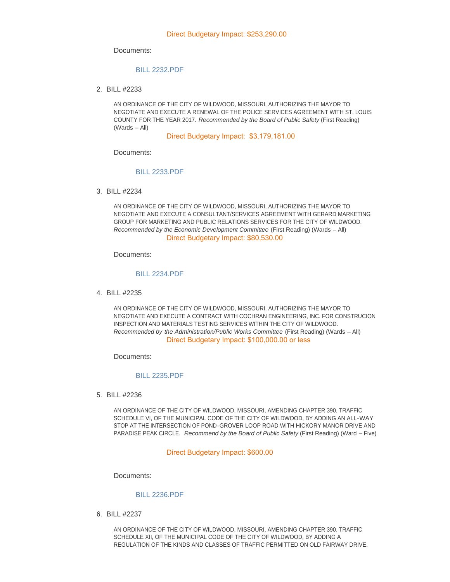#### Documents:

#### [BILL 2232.PDF](http://mo-wildwood.civicplus.com/AgendaCenter/ViewFile/Item/9207?fileID=13445)

BILL #2233 2.

AN ORDINANCE OF THE CITY OF WILDWOOD, MISSOURI, AUTHORIZING THE MAYOR TO NEGOTIATE AND EXECUTE A RENEWAL OF THE POLICE SERVICES AGREEMENT WITH ST. LOUIS COUNTY FOR THE YEAR 2017. *Recommended by the Board of Public Safety* (First Reading) (Wards – All)

Direct Budgetary Impact: \$3,179,181.00

Documents:

#### [BILL 2233.PDF](http://mo-wildwood.civicplus.com/AgendaCenter/ViewFile/Item/9208?fileID=13446)

BILL #2234 3.

AN ORDINANCE OF THE CITY OF WILDWOOD, MISSOURI, AUTHORIZING THE MAYOR TO NEGOTIATE AND EXECUTE A CONSULTANT/SERVICES AGREEMENT WITH GERARD MARKETING GROUP FOR MARKETING AND PUBLIC RELATIONS SERVICES FOR THE CITY OF WILDWOOD. *Recommended by the Economic Development Committee* (First Reading) (Wards – All) Direct Budgetary Impact: \$80,530.00

Documents:

#### [BILL 2234.PDF](http://mo-wildwood.civicplus.com/AgendaCenter/ViewFile/Item/9209?fileID=13447)

BILL #2235 4.

AN ORDINANCE OF THE CITY OF WILDWOOD, MISSOURI, AUTHORIZING THE MAYOR TO NEGOTIATE AND EXECUTE A CONTRACT WITH COCHRAN ENGINEERING, INC. FOR CONSTRUCION INSPECTION AND MATERIALS TESTING SERVICES WITHIN THE CITY OF WILDWOOD. *Recommended by the Administration/Public Works Committee (First Reading) (Wards – All)* Direct Budgetary Impact: \$100,000.00 or less

Documents:

## [BILL 2235.PDF](http://mo-wildwood.civicplus.com/AgendaCenter/ViewFile/Item/9210?fileID=13448)

BILL #2236 5.

AN ORDINANCE OF THE CITY OF WILDWOOD, MISSOURI, AMENDING CHAPTER 390, TRAFFIC SCHEDULE VI, OF THE MUNICIPAL CODE OF THE CITY OF WILDWOOD, BY ADDING AN ALL-WAY STOP AT THE INTERSECTION OF POND-GROVER LOOP ROAD WITH HICKORY MANOR DRIVE AND PARADISE PEAK CIRCLE. *Recommend by the Board of Public Safety* (First Reading) (Ward – Five)

#### Direct Budgetary Impact: \$600.00

Documents:

#### [BILL 2236.PDF](http://mo-wildwood.civicplus.com/AgendaCenter/ViewFile/Item/9211?fileID=13449)

BILL #2237 6.

AN ORDINANCE OF THE CITY OF WILDWOOD, MISSOURI, AMENDING CHAPTER 390, TRAFFIC SCHEDULE XII, OF THE MUNICIPAL CODE OF THE CITY OF WILDWOOD, BY ADDING A REGULATION OF THE KINDS AND CLASSES OF TRAFFIC PERMITTED ON OLD FAIRWAY DRIVE.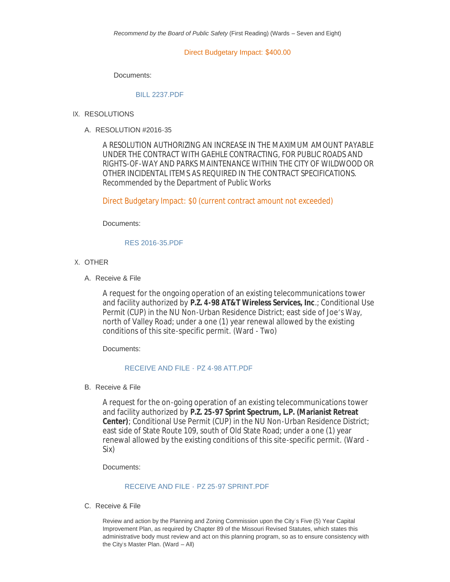Direct Budgetary Impact: \$400.00

Documents:

#### [BILL 2237.PDF](http://mo-wildwood.civicplus.com/AgendaCenter/ViewFile/Item/9212?fileID=13450)

- IX. RESOLUTIONS
	- RESOLUTION #2016-35 A.

A RESOLUTION AUTHORIZING AN INCREASE IN THE MAXIMUM AMOUNT PAYABLE UNDER THE CONTRACT WITH GAEHLE CONTRACTING, FOR PUBLIC ROADS AND RIGHTS-OF-WAY AND PARKS MAINTENANCE WITHIN THE CITY OF WILDWOOD OR OTHER INCIDENTAL ITEMS AS REQUIRED IN THE CONTRACT SPECIFICATIONS. *Recommended by the Department of Public Works*

Direct Budgetary Impact: \$0 (current contract amount not exceeded)

Documents:

### [RES 2016-35.PDF](http://mo-wildwood.civicplus.com/AgendaCenter/ViewFile/Item/9214?fileID=13451)

- X. OTHER
	- A. Receive & File

A request for the ongoing operation of an existing telecommunications tower and facility authorized by **P.Z. 4-98 AT&T Wireless Services, Inc**.; Conditional Use Permit (CUP) in the NU Non-Urban Residence District; east side of Joe's Way, north of Valley Road; under a one (1) year renewal allowed by the existing conditions of this site-specific permit. (Ward - Two)

Documents:

# [RECEIVE AND FILE -](http://mo-wildwood.civicplus.com/AgendaCenter/ViewFile/Item/9216?fileID=13452) PZ 4-98 ATT.PDF

B. Receive & File

A request for the on-going operation of an existing telecommunications tower and facility authorized by **P.Z. 25-97 Sprint Spectrum, L.P. (Marianist Retreat Center)**; Conditional Use Permit (CUP) in the NU Non-Urban Residence District; east side of State Route 109, south of Old State Road; under a one (1) year renewal allowed by the existing conditions of this site-specific permit. (Ward - Six)

Documents:

# RECEIVE AND FILE - [PZ 25-97 SPRINT.PDF](http://mo-wildwood.civicplus.com/AgendaCenter/ViewFile/Item/9217?fileID=13453)

C. Receive & File

Review and action by the Planning and Zoning Commission upon the City's Five (5) Year Capital Improvement Plan, as required by Chapter 89 of the Missouri Revised Statutes, which states this administrative body must review and act on this planning program, so as to ensure consistency with the City's Master Plan. (Ward  $-$  All)